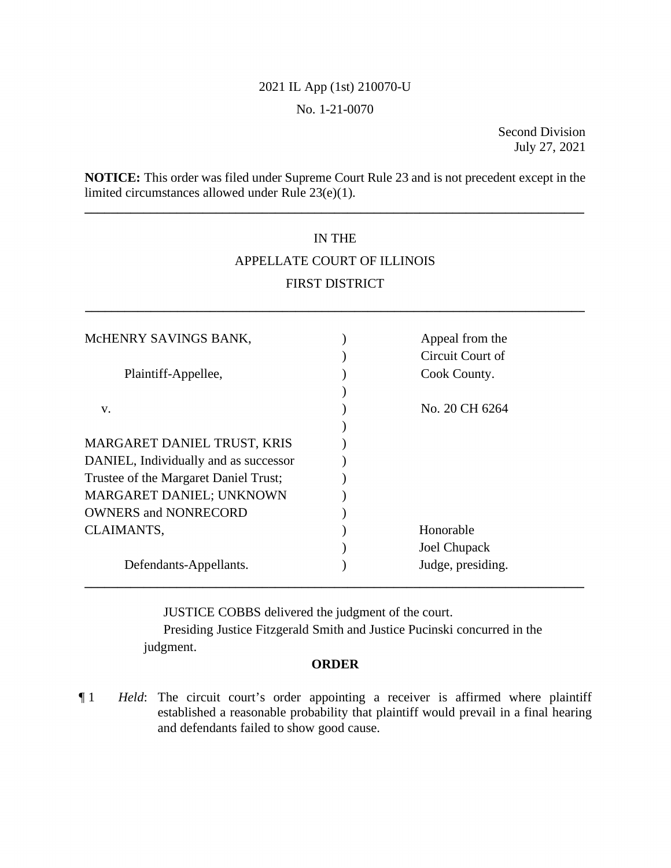## 2021 IL App (1st) 210070-U

#### No. 1-21-0070

Second Division July 27, 2021

**NOTICE:** This order was filed under Supreme Court Rule 23 and is not precedent except in the limited circumstances allowed under Rule 23(e)(1).

**\_\_\_\_\_\_\_\_\_\_\_\_\_\_\_\_\_\_\_\_\_\_\_\_\_\_\_\_\_\_\_\_\_\_\_\_\_\_\_\_\_\_\_\_\_\_\_\_\_\_\_\_\_\_\_\_\_\_\_\_\_\_\_\_\_\_\_\_\_\_\_\_\_\_\_\_** 

# IN THE APPELLATE COURT OF ILLINOIS FIRST DISTRICT

**\_\_\_\_\_\_\_\_\_\_\_\_\_\_\_\_\_\_\_\_\_\_\_\_\_\_\_\_\_\_\_\_\_\_\_\_\_\_\_\_\_\_\_\_\_\_\_\_\_\_\_\_\_\_\_\_\_\_\_\_\_\_\_\_\_\_\_\_\_\_\_\_\_\_\_\_** 

| MCHENRY SAVINGS BANK,                 | Appeal from the   |  |
|---------------------------------------|-------------------|--|
|                                       | Circuit Court of  |  |
| Plaintiff-Appellee,                   | Cook County.      |  |
|                                       |                   |  |
| V.                                    | No. 20 CH 6264    |  |
|                                       |                   |  |
| MARGARET DANIEL TRUST, KRIS           |                   |  |
| DANIEL, Individually and as successor |                   |  |
| Trustee of the Margaret Daniel Trust; |                   |  |
| MARGARET DANIEL; UNKNOWN              |                   |  |
| <b>OWNERS and NONRECORD</b>           |                   |  |
| CLAIMANTS,                            | Honorable         |  |
|                                       | Joel Chupack      |  |
| Defendants-Appellants.                | Judge, presiding. |  |
|                                       |                   |  |

JUSTICE COBBS delivered the judgment of the court.

Presiding Justice Fitzgerald Smith and Justice Pucinski concurred in the judgment.

#### **ORDER**

¶ 1 *Held*: The circuit court's order appointing a receiver is affirmed where plaintiff established a reasonable probability that plaintiff would prevail in a final hearing and defendants failed to show good cause.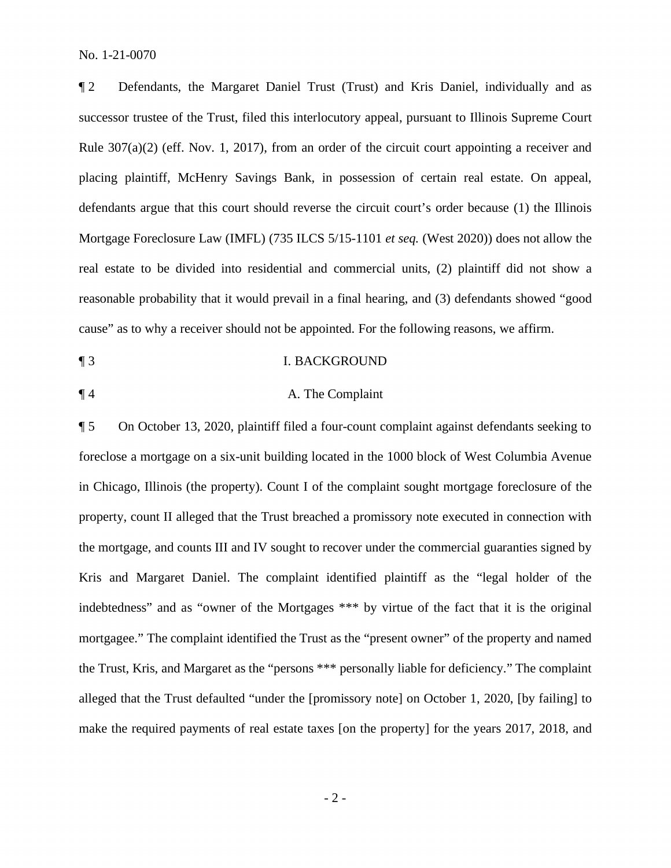¶ 2 Defendants, the Margaret Daniel Trust (Trust) and Kris Daniel, individually and as successor trustee of the Trust, filed this interlocutory appeal, pursuant to Illinois Supreme Court Rule 307(a)(2) (eff. Nov. 1, 2017), from an order of the circuit court appointing a receiver and placing plaintiff, McHenry Savings Bank, in possession of certain real estate. On appeal, defendants argue that this court should reverse the circuit court's order because (1) the Illinois Mortgage Foreclosure Law (IMFL) (735 ILCS 5/15-1101 *et seq.* (West 2020)) does not allow the real estate to be divided into residential and commercial units, (2) plaintiff did not show a reasonable probability that it would prevail in a final hearing, and (3) defendants showed "good cause" as to why a receiver should not be appointed. For the following reasons, we affirm.

- ¶ 3 I. BACKGROUND
- 

## ¶ 4 A. The Complaint

¶ 5 On October 13, 2020, plaintiff filed a four-count complaint against defendants seeking to foreclose a mortgage on a six-unit building located in the 1000 block of West Columbia Avenue in Chicago, Illinois (the property). Count I of the complaint sought mortgage foreclosure of the property, count II alleged that the Trust breached a promissory note executed in connection with the mortgage, and counts III and IV sought to recover under the commercial guaranties signed by Kris and Margaret Daniel. The complaint identified plaintiff as the "legal holder of the indebtedness" and as "owner of the Mortgages \*\*\* by virtue of the fact that it is the original mortgagee." The complaint identified the Trust as the "present owner" of the property and named the Trust, Kris, and Margaret as the "persons \*\*\* personally liable for deficiency." The complaint alleged that the Trust defaulted "under the [promissory note] on October 1, 2020, [by failing] to make the required payments of real estate taxes [on the property] for the years 2017, 2018, and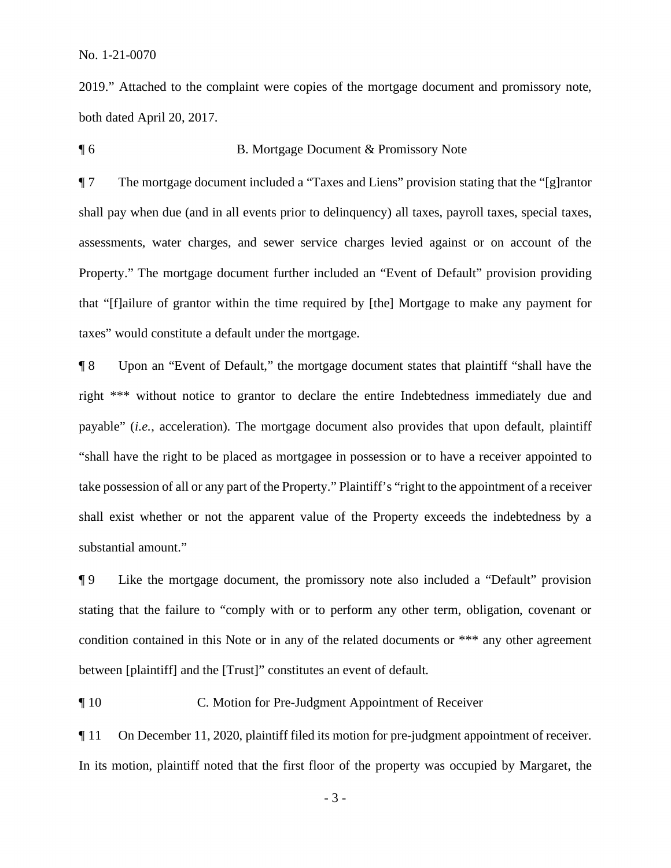2019." Attached to the complaint were copies of the mortgage document and promissory note, both dated April 20, 2017.

#### ¶ 6 B. Mortgage Document & Promissory Note

¶ 7 The mortgage document included a "Taxes and Liens" provision stating that the "[g]rantor shall pay when due (and in all events prior to delinquency) all taxes, payroll taxes, special taxes, assessments, water charges, and sewer service charges levied against or on account of the Property." The mortgage document further included an "Event of Default" provision providing that "[f]ailure of grantor within the time required by [the] Mortgage to make any payment for taxes" would constitute a default under the mortgage.

¶ 8 Upon an "Event of Default," the mortgage document states that plaintiff "shall have the right \*\*\* without notice to grantor to declare the entire Indebtedness immediately due and payable" (*i.e.*, acceleration). The mortgage document also provides that upon default, plaintiff "shall have the right to be placed as mortgagee in possession or to have a receiver appointed to take possession of all or any part of the Property." Plaintiff's "right to the appointment of a receiver shall exist whether or not the apparent value of the Property exceeds the indebtedness by a substantial amount."

¶ 9 Like the mortgage document, the promissory note also included a "Default" provision stating that the failure to "comply with or to perform any other term, obligation, covenant or condition contained in this Note or in any of the related documents or \*\*\* any other agreement between [plaintiff] and the [Trust]" constitutes an event of default.

¶ 10 C. Motion for Pre-Judgment Appointment of Receiver

¶ 11 On December 11, 2020, plaintiff filed its motion for pre-judgment appointment of receiver. In its motion, plaintiff noted that the first floor of the property was occupied by Margaret, the

- 3 -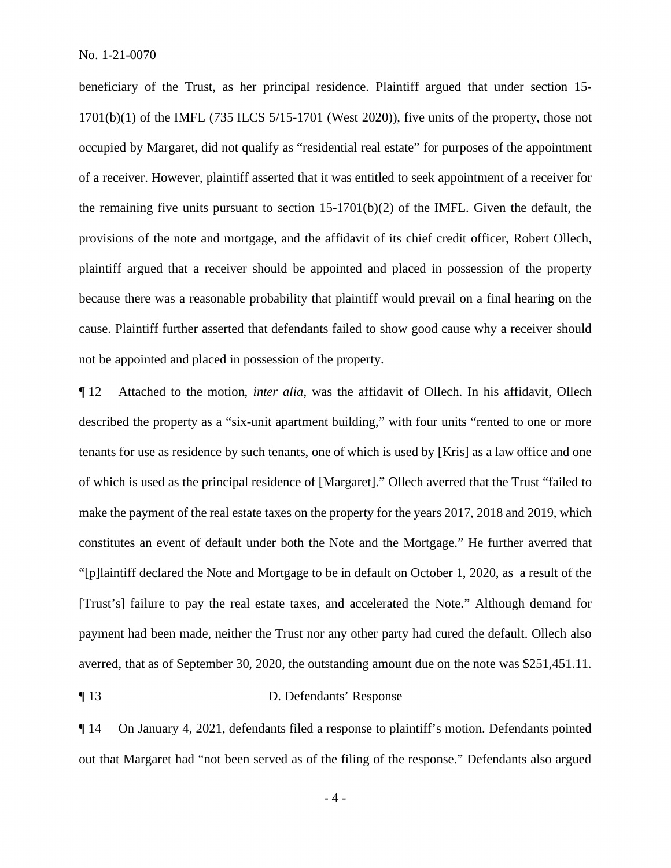beneficiary of the Trust, as her principal residence. Plaintiff argued that under section 15-  $1701(b)(1)$  of the IMFL (735 ILCS 5/15-1701 (West 2020)), five units of the property, those not occupied by Margaret, did not qualify as "residential real estate" for purposes of the appointment of a receiver. However, plaintiff asserted that it was entitled to seek appointment of a receiver for the remaining five units pursuant to section  $15-1701(b)(2)$  of the IMFL. Given the default, the provisions of the note and mortgage, and the affidavit of its chief credit officer, Robert Ollech, plaintiff argued that a receiver should be appointed and placed in possession of the property because there was a reasonable probability that plaintiff would prevail on a final hearing on the cause. Plaintiff further asserted that defendants failed to show good cause why a receiver should not be appointed and placed in possession of the property.

¶ 12 Attached to the motion, *inter alia*, was the affidavit of Ollech. In his affidavit, Ollech described the property as a "six-unit apartment building," with four units "rented to one or more tenants for use as residence by such tenants, one of which is used by [Kris] as a law office and one of which is used as the principal residence of [Margaret]." Ollech averred that the Trust "failed to make the payment of the real estate taxes on the property for the years 2017, 2018 and 2019, which constitutes an event of default under both the Note and the Mortgage." He further averred that "[p]laintiff declared the Note and Mortgage to be in default on October 1, 2020, as a result of the [Trust's] failure to pay the real estate taxes, and accelerated the Note." Although demand for payment had been made, neither the Trust nor any other party had cured the default. Ollech also averred, that as of September 30, 2020, the outstanding amount due on the note was \$251,451.11.

## ¶ 13 D. Defendants' Response

¶ 14 On January 4, 2021, defendants filed a response to plaintiff's motion. Defendants pointed out that Margaret had "not been served as of the filing of the response." Defendants also argued

 $-4-$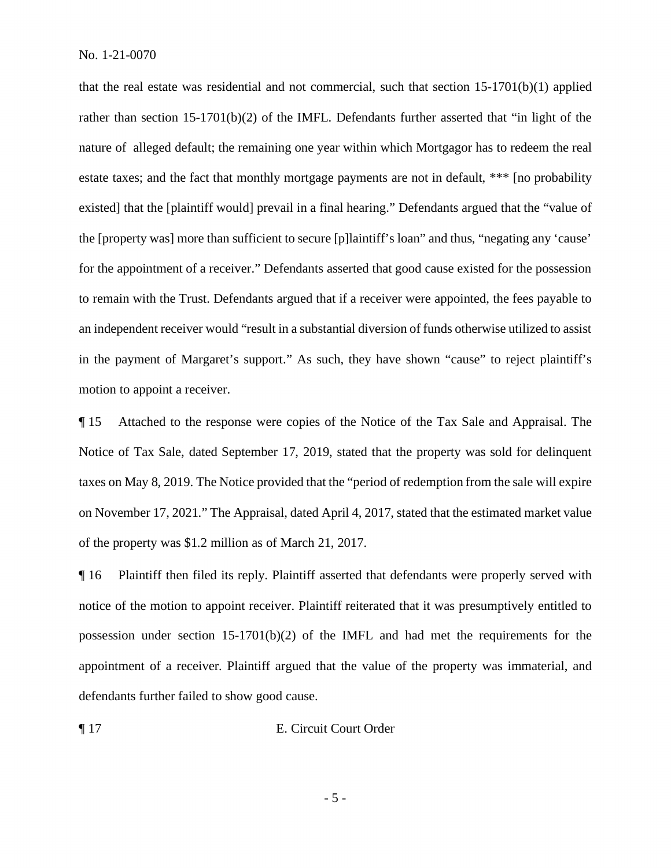that the real estate was residential and not commercial, such that section  $15{\text -}1701(b)(1)$  applied rather than section 15-1701(b)(2) of the IMFL. Defendants further asserted that "in light of the nature of alleged default; the remaining one year within which Mortgagor has to redeem the real estate taxes; and the fact that monthly mortgage payments are not in default, \*\*\* [no probability existed] that the [plaintiff would] prevail in a final hearing." Defendants argued that the "value of the [property was] more than sufficient to secure [p]laintiff's loan" and thus, "negating any 'cause' for the appointment of a receiver." Defendants asserted that good cause existed for the possession to remain with the Trust. Defendants argued that if a receiver were appointed, the fees payable to an independent receiver would "result in a substantial diversion of funds otherwise utilized to assist in the payment of Margaret's support." As such, they have shown "cause" to reject plaintiff's motion to appoint a receiver.

¶ 15 Attached to the response were copies of the Notice of the Tax Sale and Appraisal. The Notice of Tax Sale, dated September 17, 2019, stated that the property was sold for delinquent taxes on May 8, 2019. The Notice provided that the "period of redemption from the sale will expire on November 17, 2021." The Appraisal, dated April 4, 2017, stated that the estimated market value of the property was \$1.2 million as of March 21, 2017.

¶ 16 Plaintiff then filed its reply. Plaintiff asserted that defendants were properly served with notice of the motion to appoint receiver. Plaintiff reiterated that it was presumptively entitled to possession under section 15-1701(b)(2) of the IMFL and had met the requirements for the appointment of a receiver. Plaintiff argued that the value of the property was immaterial, and defendants further failed to show good cause.

¶ 17 E. Circuit Court Order

- 5 -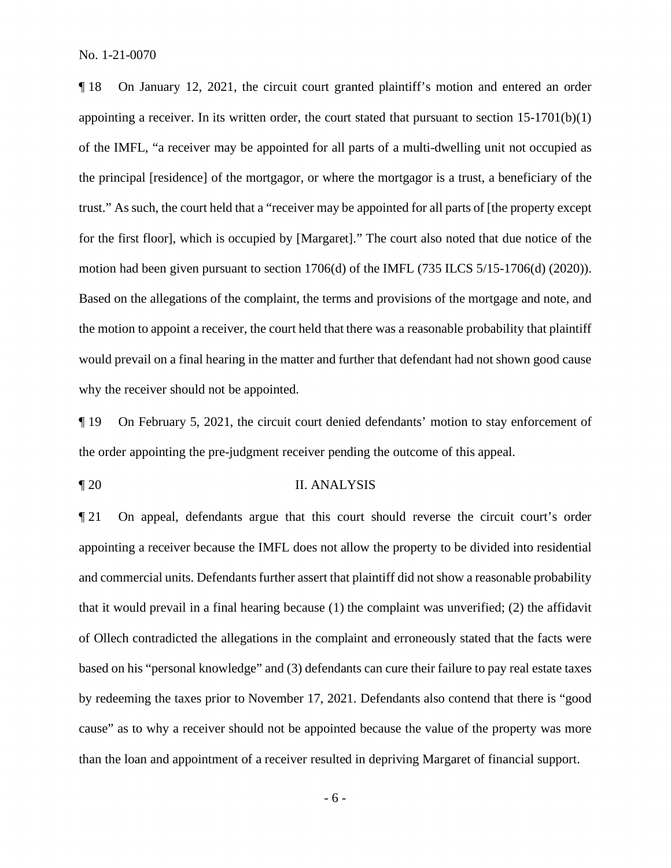¶ 18 On January 12, 2021, the circuit court granted plaintiff's motion and entered an order appointing a receiver. In its written order, the court stated that pursuant to section 15-1701(b)(1) of the IMFL, "a receiver may be appointed for all parts of a multi-dwelling unit not occupied as the principal [residence] of the mortgagor, or where the mortgagor is a trust, a beneficiary of the trust." As such, the court held that a "receiver may be appointed for all parts of [the property except for the first floor], which is occupied by [Margaret]." The court also noted that due notice of the motion had been given pursuant to section 1706(d) of the IMFL (735 ILCS 5/15-1706(d) (2020)). Based on the allegations of the complaint, the terms and provisions of the mortgage and note, and the motion to appoint a receiver, the court held that there was a reasonable probability that plaintiff would prevail on a final hearing in the matter and further that defendant had not shown good cause why the receiver should not be appointed.

¶ 19 On February 5, 2021, the circuit court denied defendants' motion to stay enforcement of the order appointing the pre-judgment receiver pending the outcome of this appeal.

## ¶ 20 II. ANALYSIS

¶ 21 On appeal, defendants argue that this court should reverse the circuit court's order appointing a receiver because the IMFL does not allow the property to be divided into residential and commercial units. Defendants further assert that plaintiff did not show a reasonable probability that it would prevail in a final hearing because (1) the complaint was unverified; (2) the affidavit of Ollech contradicted the allegations in the complaint and erroneously stated that the facts were based on his "personal knowledge" and (3) defendants can cure their failure to pay real estate taxes by redeeming the taxes prior to November 17, 2021. Defendants also contend that there is "good cause" as to why a receiver should not be appointed because the value of the property was more than the loan and appointment of a receiver resulted in depriving Margaret of financial support.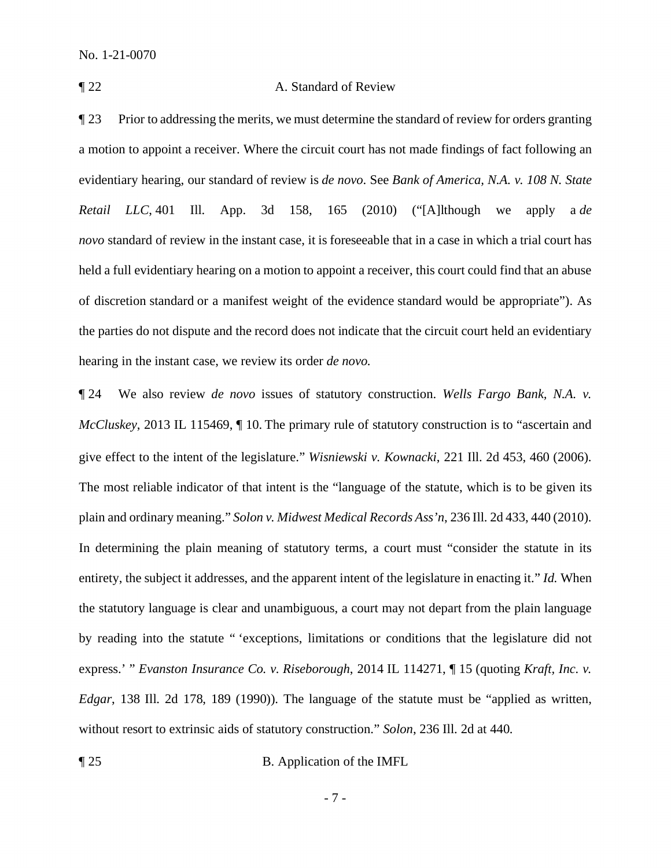#### ¶ 22 A. Standard of Review

¶ 23 Prior to addressing the merits, we must determine the standard of review for orders granting a motion to appoint a receiver. Where the circuit court has not made findings of fact following an evidentiary hearing, our standard of review is *de novo*. See *Bank of America, N.A. v. 108 N. State Retail LLC*, 401 Ill. App. 3d 158, 165 (2010) ("[A]lthough we apply a *de novo* standard of review in the instant case, it is foreseeable that in a case in which a trial court has held a full evidentiary hearing on a motion to appoint a receiver, this court could find that an abuse of discretion standard or a manifest weight of the evidence standard would be appropriate"). As the parties do not dispute and the record does not indicate that the circuit court held an evidentiary hearing in the instant case, we review its order *de novo.*

¶ 24 We also review *de novo* issues of statutory construction. *Wells Fargo Bank, N.A. v. McCluskey*, 2013 IL 115469,  $\P$  10. The primary rule of statutory construction is to "ascertain and give effect to the intent of the legislature." *Wisniewski v. Kownacki*, 221 Ill. 2d 453, 460 (2006). The most reliable indicator of that intent is the "language of the statute, which is to be given its plain and ordinary meaning." *Solon v. Midwest Medical Records Ass'n*, 236 Ill. 2d 433, 440 (2010). In determining the plain meaning of statutory terms, a court must "consider the statute in its entirety, the subject it addresses, and the apparent intent of the legislature in enacting it." *Id.* When the statutory language is clear and unambiguous, a court may not depart from the plain language by reading into the statute " 'exceptions, limitations or conditions that the legislature did not express.' " *Evanston Insurance Co. v. Riseborough*, 2014 IL 114271, ¶ 15 (quoting *Kraft, Inc. v. Edgar*, 138 Ill. 2d 178, 189 (1990)). The language of the statute must be "applied as written, without resort to extrinsic aids of statutory construction." *Solon*, 236 Ill. 2d at 440.

¶ 25 B. Application of the IMFL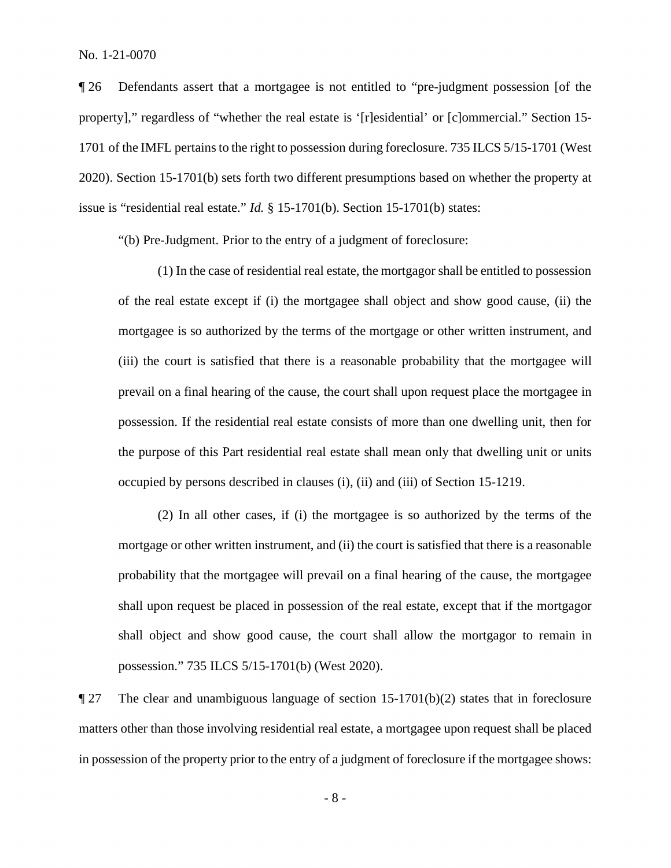¶ 26 Defendants assert that a mortgagee is not entitled to "pre-judgment possession [of the property]," regardless of "whether the real estate is '[r]esidential' or [c]ommercial." Section 15- 1701 of the IMFL pertains to the right to possession during foreclosure. 735 ILCS 5/15-1701 (West 2020). Section 15-1701(b) sets forth two different presumptions based on whether the property at issue is "residential real estate." *Id.* § 15-1701(b). Section 15-1701(b) states:

"(b) Pre-Judgment. Prior to the entry of a judgment of foreclosure:

(1) In the case of residential real estate, the mortgagor shall be entitled to possession of the real estate except if (i) the mortgagee shall object and show good cause, (ii) the mortgagee is so authorized by the terms of the mortgage or other written instrument, and (iii) the court is satisfied that there is a reasonable probability that the mortgagee will prevail on a final hearing of the cause, the court shall upon request place the mortgagee in possession. If the residential real estate consists of more than one dwelling unit, then for the purpose of this Part residential real estate shall mean only that dwelling unit or units occupied by persons described in clauses (i), (ii) and (iii) of Section 15-1219.

(2) In all other cases, if (i) the mortgagee is so authorized by the terms of the mortgage or other written instrument, and (ii) the court is satisfied that there is a reasonable probability that the mortgagee will prevail on a final hearing of the cause, the mortgagee shall upon request be placed in possession of the real estate, except that if the mortgagor shall object and show good cause, the court shall allow the mortgagor to remain in possession." 735 ILCS 5/15-1701(b) (West 2020).

¶ 27 The clear and unambiguous language of section 15-1701(b)(2) states that in foreclosure matters other than those involving residential real estate, a mortgagee upon request shall be placed in possession of the property prior to the entry of a judgment of foreclosure if the mortgagee shows: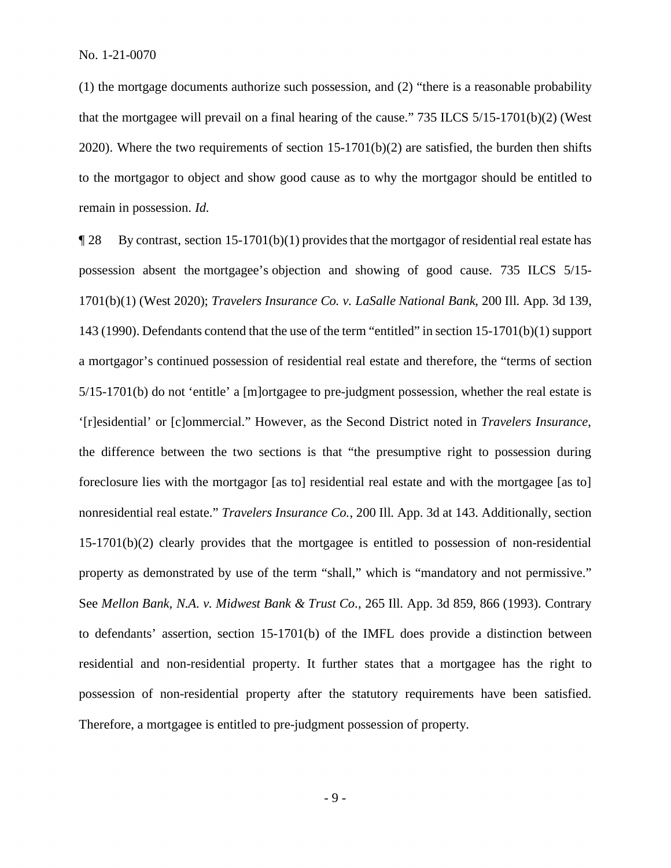(1) the mortgage documents authorize such possession, and (2) "there is a reasonable probability that the mortgagee will prevail on a final hearing of the cause." 735 ILCS 5/15-1701(b)(2) (West 2020). Where the two requirements of section  $15-1701(b)(2)$  are satisfied, the burden then shifts to the mortgagor to object and show good cause as to why the mortgagor should be entitled to remain in possession. *Id.* 

¶ 28 By contrast, section 15-1701(b)(1) provides that the mortgagor of residential real estate has possession absent the mortgagee's objection and showing of good cause. 735 ILCS 5/15- 1701(b)(1) (West 2020); *Travelers Insurance Co. v. LaSalle National Bank*, 200 Ill. App. 3d 139, 143 (1990). Defendants contend that the use of the term "entitled" in section 15-1701(b)(1) support a mortgagor's continued possession of residential real estate and therefore, the "terms of section 5/15-1701(b) do not 'entitle' a [m]ortgagee to pre-judgment possession, whether the real estate is '[r]esidential' or [c]ommercial." However, as the Second District noted in *Travelers Insurance*, the difference between the two sections is that "the presumptive right to possession during foreclosure lies with the mortgagor [as to] residential real estate and with the mortgagee [as to] nonresidential real estate." *Travelers Insurance Co.*, 200 Ill. App. 3d at 143. Additionally, section 15-1701(b)(2) clearly provides that the mortgagee is entitled to possession of non-residential property as demonstrated by use of the term "shall," which is "mandatory and not permissive." See *Mellon Bank, N.A. v. Midwest Bank & Trust Co*., 265 Ill. App. 3d 859, 866 (1993). Contrary to defendants' assertion, section 15-1701(b) of the IMFL does provide a distinction between residential and non-residential property. It further states that a mortgagee has the right to possession of non-residential property after the statutory requirements have been satisfied. Therefore, a mortgagee is entitled to pre-judgment possession of property.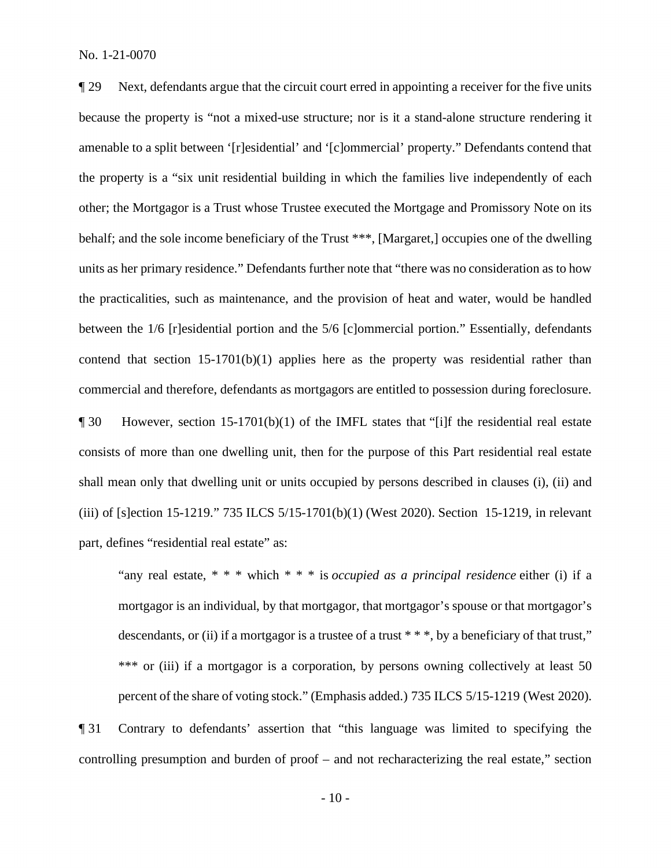¶ 29 Next, defendants argue that the circuit court erred in appointing a receiver for the five units because the property is "not a mixed-use structure; nor is it a stand-alone structure rendering it amenable to a split between '[r]esidential' and '[c]ommercial' property." Defendants contend that the property is a "six unit residential building in which the families live independently of each other; the Mortgagor is a Trust whose Trustee executed the Mortgage and Promissory Note on its behalf; and the sole income beneficiary of the Trust \*\*\*, [Margaret,] occupies one of the dwelling units as her primary residence." Defendants further note that "there was no consideration as to how the practicalities, such as maintenance, and the provision of heat and water, would be handled between the 1/6 [r]esidential portion and the 5/6 [c]ommercial portion." Essentially, defendants contend that section 15-1701(b)(1) applies here as the property was residential rather than commercial and therefore, defendants as mortgagors are entitled to possession during foreclosure. ¶ 30 However, section 15-1701(b)(1) of the IMFL states that "[i]f the residential real estate consists of more than one dwelling unit, then for the purpose of this Part residential real estate shall mean only that dwelling unit or units occupied by persons described in clauses (i), (ii) and (iii) of [s]ection 15-1219." 735 ILCS 5/15-1701(b)(1) (West 2020). Section 15-1219, in relevant part, defines "residential real estate" as:

"any real estate, \* \* \* which \* \* \* is *occupied as a principal residence* either (i) if a mortgagor is an individual, by that mortgagor, that mortgagor's spouse or that mortgagor's descendants, or (ii) if a mortgagor is a trustee of a trust  $***$ , by a beneficiary of that trust," \*\*\* or (iii) if a mortgagor is a corporation, by persons owning collectively at least 50 percent of the share of voting stock." (Emphasis added.) 735 ILCS 5/15-1219 (West 2020).

¶ 31 Contrary to defendants' assertion that "this language was limited to specifying the controlling presumption and burden of proof – and not recharacterizing the real estate," section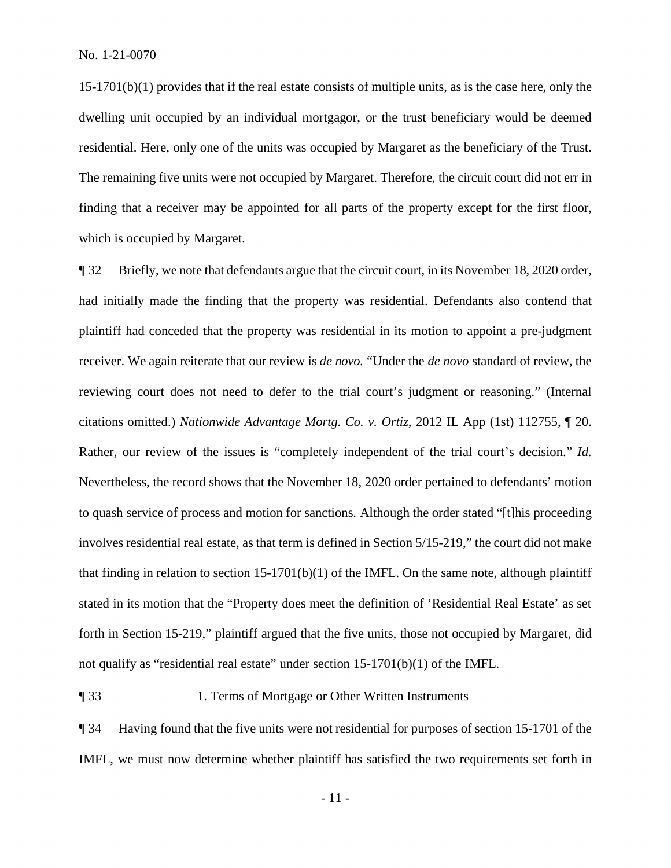15-1701(b)(1) provides that if the real estate consists of multiple units, as is the case here, only the dwelling unit occupied by an individual mortgagor, or the trust beneficiary would be deemed residential. Here, only one of the units was occupied by Margaret as the beneficiary of the Trust. The remaining five units were not occupied by Margaret. Therefore, the circuit court did not err in finding that a receiver may be appointed for all parts of the property except for the first floor, which is occupied by Margaret.

¶ 32 Briefly, we note that defendants argue that the circuit court, in its November 18, 2020 order, had initially made the finding that the property was residential. Defendants also contend that plaintiff had conceded that the property was residential in its motion to appoint a pre-judgment receiver. We again reiterate that our review is *de novo.* "Under the *de novo* standard of review, the reviewing court does not need to defer to the trial court's judgment or reasoning." (Internal citations omitted.) *Nationwide Advantage Mortg. Co. v. Ortiz*, 2012 IL App (1st) 112755, ¶ 20. Rather, our review of the issues is "completely independent of the trial court's decision." *Id.*  Nevertheless, the record shows that the November 18, 2020 order pertained to defendants' motion to quash service of process and motion for sanctions. Although the order stated "[t]his proceeding involves residential real estate, as that term is defined in Section 5/15-219," the court did not make that finding in relation to section  $15-1701(b)(1)$  of the IMFL. On the same note, although plaintiff stated in its motion that the "Property does meet the definition of 'Residential Real Estate' as set forth in Section 15-219," plaintiff argued that the five units, those not occupied by Margaret, did not qualify as "residential real estate" under section 15-1701(b)(1) of the IMFL.

## ¶ 33 1. Terms of Mortgage or Other Written Instruments

¶ 34 Having found that the five units were not residential for purposes of section 15-1701 of the IMFL, we must now determine whether plaintiff has satisfied the two requirements set forth in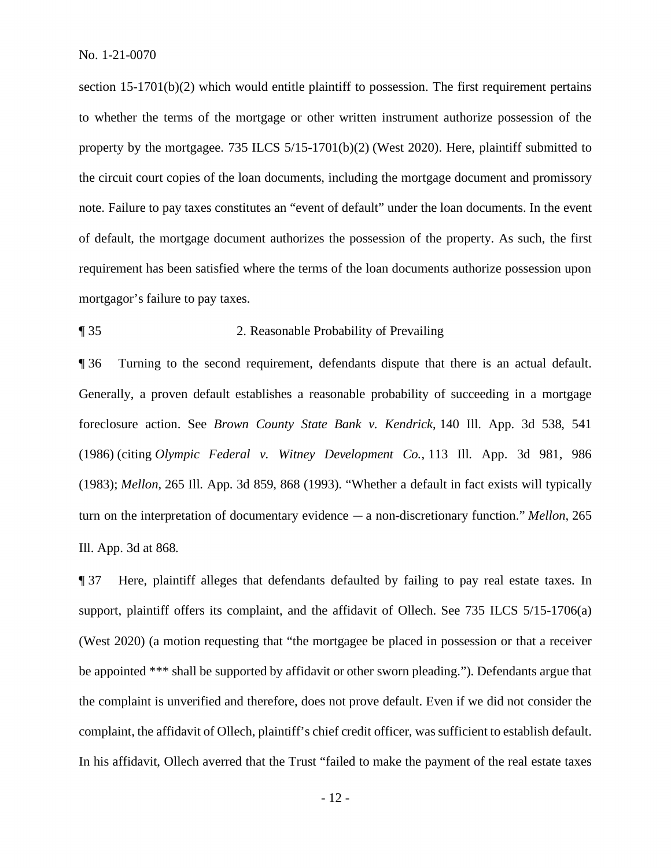section 15-1701(b)(2) which would entitle plaintiff to possession. The first requirement pertains to whether the terms of the mortgage or other written instrument authorize possession of the property by the mortgagee. 735 ILCS 5/15-1701(b)(2) (West 2020). Here, plaintiff submitted to the circuit court copies of the loan documents, including the mortgage document and promissory note. Failure to pay taxes constitutes an "event of default" under the loan documents. In the event of default, the mortgage document authorizes the possession of the property. As such, the first requirement has been satisfied where the terms of the loan documents authorize possession upon mortgagor's failure to pay taxes.

#### ¶ 35 2. Reasonable Probability of Prevailing

¶ 36 Turning to the second requirement, defendants dispute that there is an actual default. Generally, a proven default establishes a reasonable probability of succeeding in a mortgage foreclosure action. See *Brown County State Bank v. Kendrick*, 140 Ill. App. 3d 538, 541 (1986) (citing *Olympic Federal v. Witney Development Co.*, 113 Ill. App. 3d 981, 986 (1983); *Mellon*, 265 Ill. App. 3d 859, 868 (1993). "Whether a default in fact exists will typically turn on the interpretation of documentary evidence — a non-discretionary function." *Mellon*, 265 Ill. App. 3d at 868.

¶ 37 Here, plaintiff alleges that defendants defaulted by failing to pay real estate taxes. In support, plaintiff offers its complaint, and the affidavit of Ollech. See 735 ILCS 5/15-1706(a) (West 2020) (a motion requesting that "the mortgagee be placed in possession or that a receiver be appointed \*\*\* shall be supported by affidavit or other sworn pleading."). Defendants argue that the complaint is unverified and therefore, does not prove default. Even if we did not consider the complaint, the affidavit of Ollech, plaintiff's chief credit officer, was sufficient to establish default. In his affidavit, Ollech averred that the Trust "failed to make the payment of the real estate taxes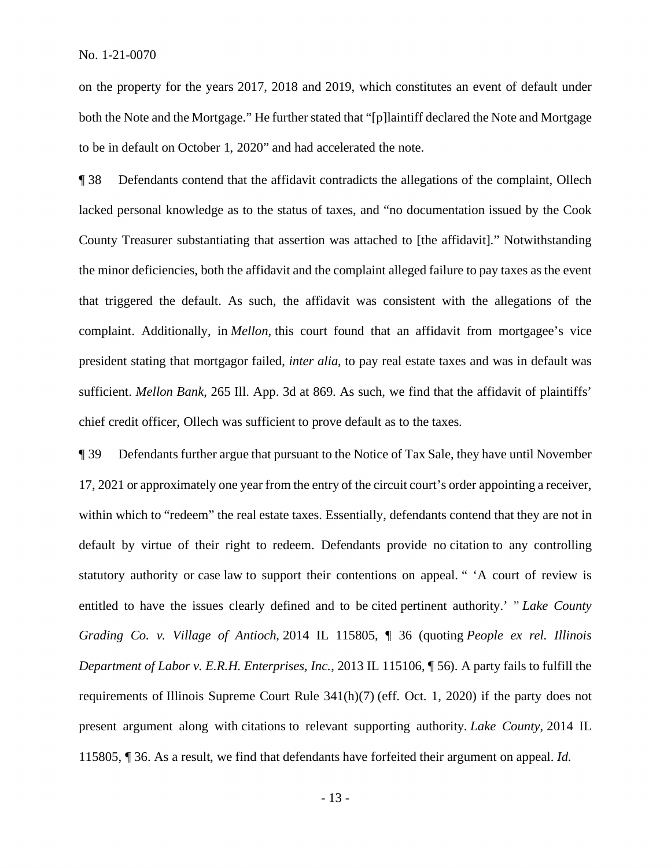on the property for the years 2017, 2018 and 2019, which constitutes an event of default under both the Note and the Mortgage." He further stated that "[p]laintiff declared the Note and Mortgage to be in default on October 1, 2020" and had accelerated the note.

¶ 38 Defendants contend that the affidavit contradicts the allegations of the complaint, Ollech lacked personal knowledge as to the status of taxes, and "no documentation issued by the Cook County Treasurer substantiating that assertion was attached to [the affidavit]." Notwithstanding the minor deficiencies, both the affidavit and the complaint alleged failure to pay taxes as the event that triggered the default. As such, the affidavit was consistent with the allegations of the complaint. Additionally, in *Mellon,* this court found that an affidavit from mortgagee's vice president stating that mortgagor failed, *inter alia*, to pay real estate taxes and was in default was sufficient. *Mellon Bank*, 265 Ill. App. 3d at 869. As such, we find that the affidavit of plaintiffs' chief credit officer, Ollech was sufficient to prove default as to the taxes.

¶ 39 Defendants further argue that pursuant to the Notice of Tax Sale, they have until November 17, 2021 or approximately one year from the entry of the circuit court's order appointing a receiver, within which to "redeem" the real estate taxes. Essentially, defendants contend that they are not in default by virtue of their right to redeem. Defendants provide no citation to any controlling statutory authority or case law to support their contentions on appeal. " 'A court of review is entitled to have the issues clearly defined and to be cited pertinent authority.' " *Lake County Grading Co. v. Village of Antioch*, 2014 IL 115805, ¶ 36 (quoting *People ex rel. Illinois Department of Labor v. E.R.H. Enterprises, Inc.*, 2013 IL 115106, ¶ 56). A party fails to fulfill the requirements of Illinois Supreme Court Rule 341(h)(7) (eff. Oct. 1, 2020) if the party does not present argument along with citations to relevant supporting authority. *Lake County*, 2014 IL 115805, ¶ 36. As a result, we find that defendants have forfeited their argument on appeal. *Id.*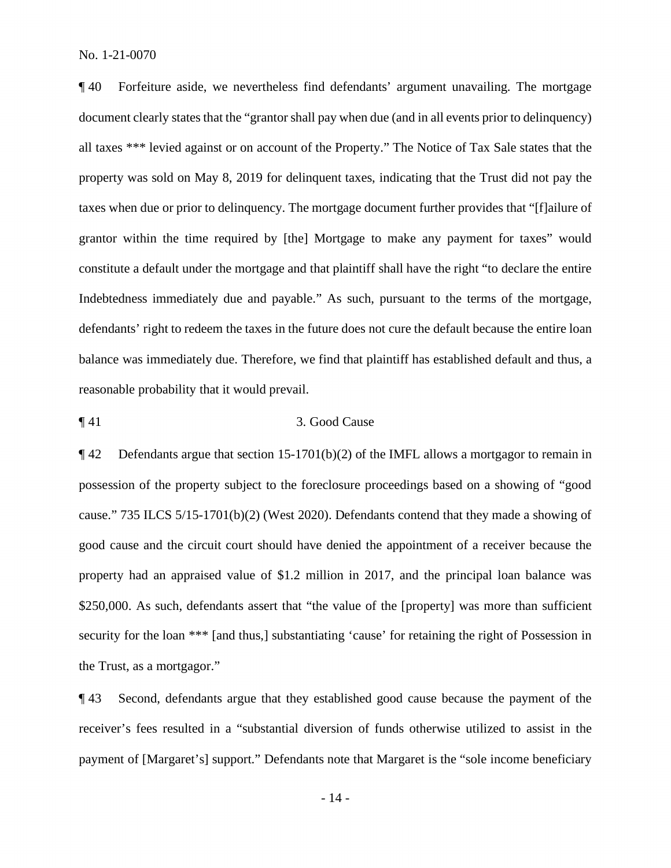¶ 40 Forfeiture aside, we nevertheless find defendants' argument unavailing. The mortgage document clearly states that the "grantor shall pay when due (and in all events prior to delinquency) all taxes \*\*\* levied against or on account of the Property." The Notice of Tax Sale states that the property was sold on May 8, 2019 for delinquent taxes, indicating that the Trust did not pay the taxes when due or prior to delinquency. The mortgage document further provides that "[f]ailure of grantor within the time required by [the] Mortgage to make any payment for taxes" would constitute a default under the mortgage and that plaintiff shall have the right "to declare the entire Indebtedness immediately due and payable." As such, pursuant to the terms of the mortgage, defendants' right to redeem the taxes in the future does not cure the default because the entire loan balance was immediately due. Therefore, we find that plaintiff has established default and thus, a reasonable probability that it would prevail.

## ¶ 41 3. Good Cause

¶ 42 Defendants argue that section 15-1701(b)(2) of the IMFL allows a mortgagor to remain in possession of the property subject to the foreclosure proceedings based on a showing of "good cause." 735 ILCS 5/15-1701(b)(2) (West 2020). Defendants contend that they made a showing of good cause and the circuit court should have denied the appointment of a receiver because the property had an appraised value of \$1.2 million in 2017, and the principal loan balance was \$250,000. As such, defendants assert that "the value of the [property] was more than sufficient security for the loan \*\*\* [and thus,] substantiating 'cause' for retaining the right of Possession in the Trust, as a mortgagor."

¶ 43 Second, defendants argue that they established good cause because the payment of the receiver's fees resulted in a "substantial diversion of funds otherwise utilized to assist in the payment of [Margaret's] support." Defendants note that Margaret is the "sole income beneficiary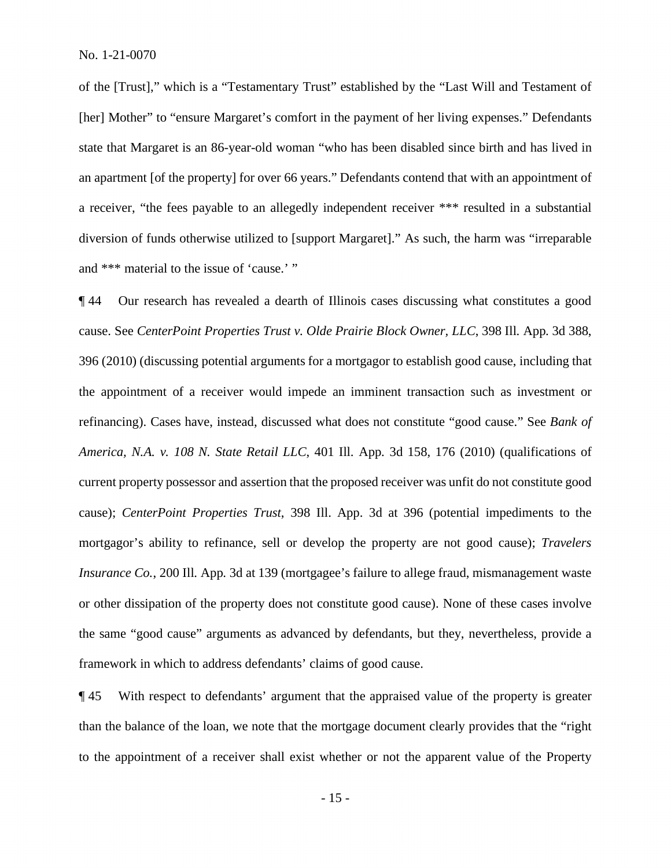of the [Trust]," which is a "Testamentary Trust" established by the "Last Will and Testament of [her] Mother" to "ensure Margaret's comfort in the payment of her living expenses." Defendants state that Margaret is an 86-year-old woman "who has been disabled since birth and has lived in an apartment [of the property] for over 66 years." Defendants contend that with an appointment of a receiver, "the fees payable to an allegedly independent receiver \*\*\* resulted in a substantial diversion of funds otherwise utilized to [support Margaret]." As such, the harm was "irreparable and \*\*\* material to the issue of 'cause.' "

¶ 44 Our research has revealed a dearth of Illinois cases discussing what constitutes a good cause. See *CenterPoint Properties Trust v. Olde Prairie Block Owner, LLC*, 398 Ill. App. 3d 388, 396 (2010) (discussing potential arguments for a mortgagor to establish good cause, including that the appointment of a receiver would impede an imminent transaction such as investment or refinancing). Cases have, instead, discussed what does not constitute "good cause." See *Bank of America, N.A. v. 108 N. State Retail LLC*, 401 Ill. App. 3d 158, 176 (2010) (qualifications of current property possessor and assertion that the proposed receiver was unfit do not constitute good cause); *CenterPoint Properties Trust*, 398 Ill. App. 3d at 396 (potential impediments to the mortgagor's ability to refinance, sell or develop the property are not good cause); *Travelers Insurance Co.*, 200 Ill. App. 3d at 139 (mortgagee's failure to allege fraud, mismanagement waste or other dissipation of the property does not constitute good cause). None of these cases involve the same "good cause" arguments as advanced by defendants, but they, nevertheless, provide a framework in which to address defendants' claims of good cause.

¶ 45 With respect to defendants' argument that the appraised value of the property is greater than the balance of the loan, we note that the mortgage document clearly provides that the "right to the appointment of a receiver shall exist whether or not the apparent value of the Property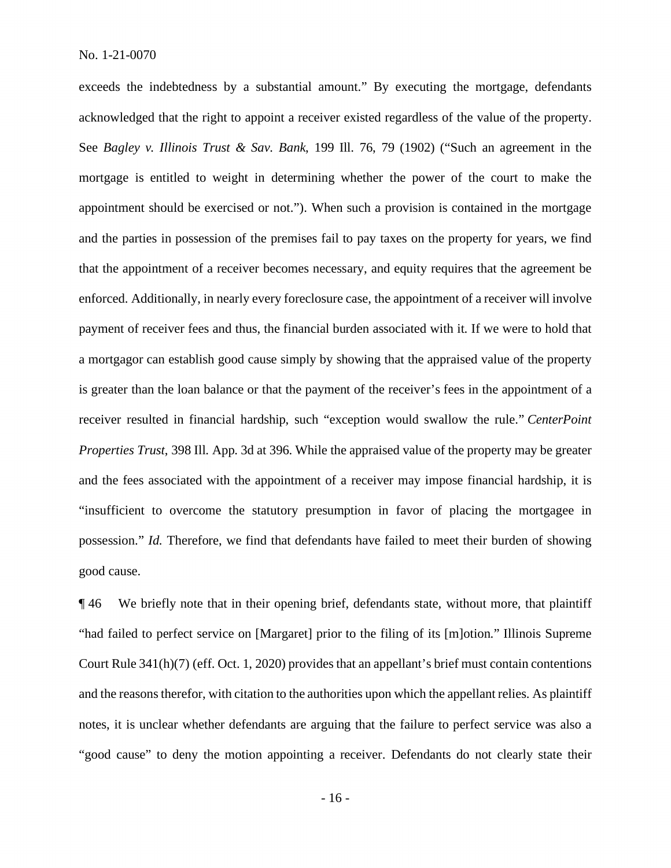exceeds the indebtedness by a substantial amount." By executing the mortgage, defendants acknowledged that the right to appoint a receiver existed regardless of the value of the property. See *Bagley v. Illinois Trust & Sav. Bank*, 199 Ill. 76, 79 (1902) ("Such an agreement in the mortgage is entitled to weight in determining whether the power of the court to make the appointment should be exercised or not."). When such a provision is contained in the mortgage and the parties in possession of the premises fail to pay taxes on the property for years, we find that the appointment of a receiver becomes necessary, and equity requires that the agreement be enforced. Additionally, in nearly every foreclosure case, the appointment of a receiver will involve payment of receiver fees and thus, the financial burden associated with it. If we were to hold that a mortgagor can establish good cause simply by showing that the appraised value of the property is greater than the loan balance or that the payment of the receiver's fees in the appointment of a receiver resulted in financial hardship, such "exception would swallow the rule." *CenterPoint Properties Trust*, 398 Ill. App. 3d at 396. While the appraised value of the property may be greater and the fees associated with the appointment of a receiver may impose financial hardship, it is "insufficient to overcome the statutory presumption in favor of placing the mortgagee in possession." *Id.* Therefore, we find that defendants have failed to meet their burden of showing good cause.

¶ 46 We briefly note that in their opening brief, defendants state, without more, that plaintiff "had failed to perfect service on [Margaret] prior to the filing of its [m]otion." Illinois Supreme Court Rule 341(h)(7) (eff. Oct. 1, 2020) provides that an appellant's brief must contain contentions and the reasons therefor, with citation to the authorities upon which the appellant relies. As plaintiff notes, it is unclear whether defendants are arguing that the failure to perfect service was also a "good cause" to deny the motion appointing a receiver. Defendants do not clearly state their